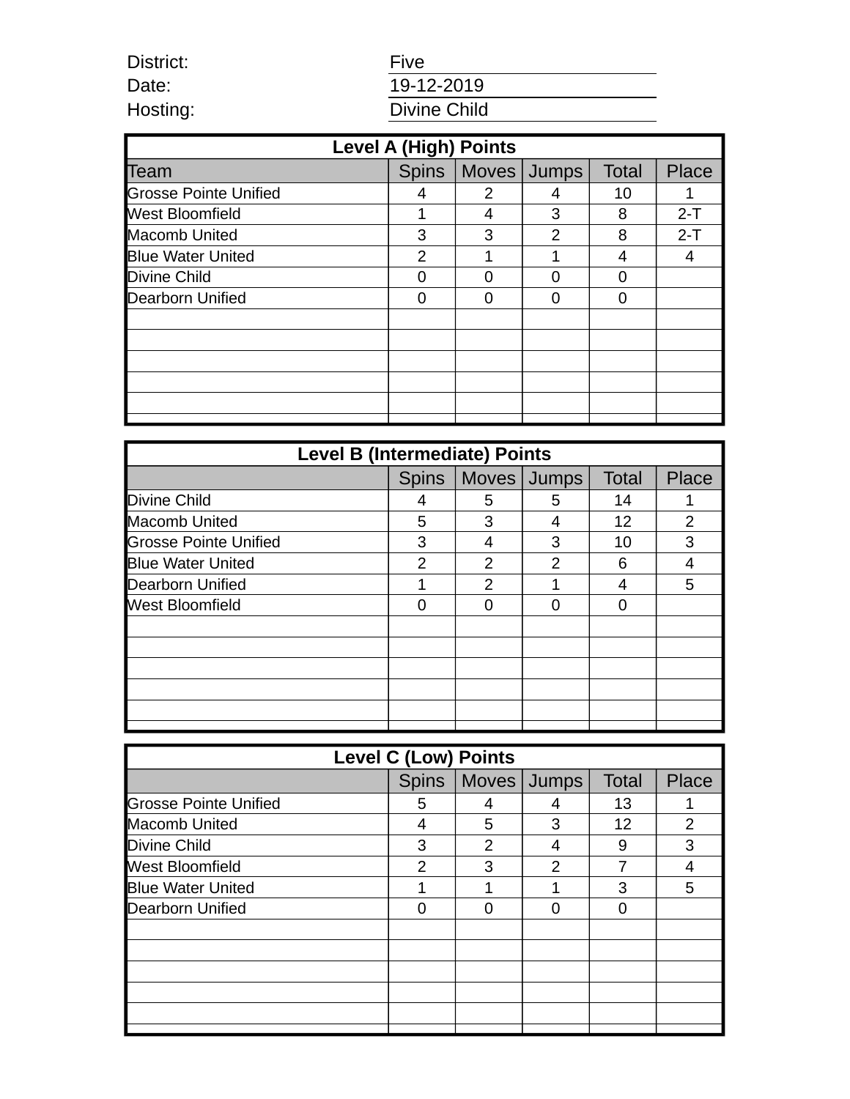| <b>Five</b>  |
|--------------|
| 19-12-2019   |
| Divine Child |

District: Date: Hosting:

| <b>Level A (High) Points</b> |               |                       |               |              |       |  |
|------------------------------|---------------|-----------------------|---------------|--------------|-------|--|
| Team                         |               | Spins   Moves   Jumps |               | <b>Total</b> | Place |  |
| <b>Grosse Pointe Unified</b> | 4             | 2                     | 4             | 10           |       |  |
| <b>West Bloomfield</b>       |               | 4                     | 3             | 8            | $2-T$ |  |
| <b>Macomb United</b>         | 3             | 3                     | $\mathcal{P}$ | 8            | $2-T$ |  |
| <b>Blue Water United</b>     | $\mathcal{P}$ |                       |               | 4            | 4     |  |
| Divine Child                 |               |                       |               |              |       |  |
| <b>Dearborn Unified</b>      |               |                       |               | n            |       |  |
|                              |               |                       |               |              |       |  |
|                              |               |                       |               |              |       |  |
|                              |               |                       |               |              |       |  |
|                              |               |                       |               |              |       |  |
|                              |               |                       |               |              |       |  |
|                              |               |                       |               |              |       |  |

| <b>Level B (Intermediate) Points</b> |              |               |             |              |                |  |
|--------------------------------------|--------------|---------------|-------------|--------------|----------------|--|
|                                      | <b>Spins</b> |               | Moves Jumps | <b>Total</b> | Place          |  |
| Divine Child                         | 4            | 5             | 5           | 14           |                |  |
| <b>Macomb United</b>                 | 5            | 3             |             | 12           | $\overline{2}$ |  |
| <b>Grosse Pointe Unified</b>         | 3            | 4             | 3           | 10           | 3              |  |
| <b>Blue Water United</b>             | 2            | $\mathcal{P}$ | 2           | 6            |                |  |
| <b>Dearborn Unified</b>              |              | 2             |             | 4            | 5              |  |
| <b>West Bloomfield</b>               |              |               |             | O            |                |  |
|                                      |              |               |             |              |                |  |
|                                      |              |               |             |              |                |  |
|                                      |              |               |             |              |                |  |
|                                      |              |               |             |              |                |  |
|                                      |              |               |             |              |                |  |
|                                      |              |               |             |              |                |  |

| <b>Level C (Low) Points</b>  |              |               |   |              |                |  |  |
|------------------------------|--------------|---------------|---|--------------|----------------|--|--|
|                              | <b>Spins</b> | Moves Jumps   |   | <b>Total</b> | <b>Place</b>   |  |  |
| <b>Grosse Pointe Unified</b> | 5            | 4             |   | 13           |                |  |  |
| <b>Macomb United</b>         | 4            | 5             | 3 | 12           | $\overline{2}$ |  |  |
| Divine Child                 | 3            | $\mathcal{P}$ | 4 | 9            | 3              |  |  |
| <b>West Bloomfield</b>       | 2            | 3             | 2 |              |                |  |  |
| <b>Blue Water United</b>     |              |               |   | 3            | 5              |  |  |
| <b>Dearborn Unified</b>      |              |               |   |              |                |  |  |
|                              |              |               |   |              |                |  |  |
|                              |              |               |   |              |                |  |  |
|                              |              |               |   |              |                |  |  |
|                              |              |               |   |              |                |  |  |
|                              |              |               |   |              |                |  |  |
|                              |              |               |   |              |                |  |  |